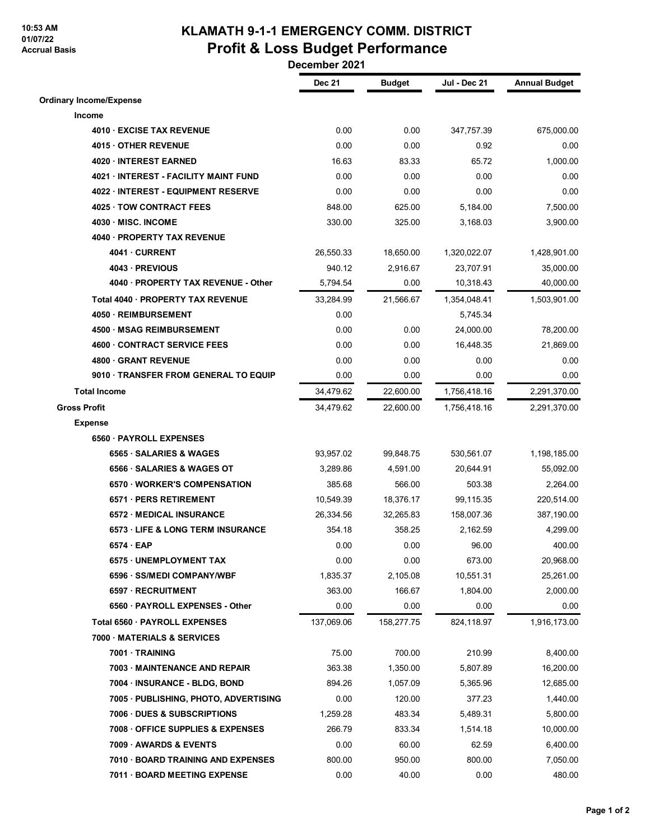## **10:53 AM 01/07/22 Accrual Basis**

## **KLAMATH 9-1-1 EMERGENCY COMM. DISTRICT Profit & Loss Budget Performance**

 **December 2021**

|                                       | <b>Dec 21</b> | <b>Budget</b> | Jul - Dec 21 | <b>Annual Budget</b> |
|---------------------------------------|---------------|---------------|--------------|----------------------|
| <b>Ordinary Income/Expense</b>        |               |               |              |                      |
| Income                                |               |               |              |                      |
| 4010 · EXCISE TAX REVENUE             | 0.00          | 0.00          | 347,757.39   | 675,000.00           |
| 4015 OTHER REVENUE                    | 0.00          | 0.00          | 0.92         | 0.00                 |
| 4020 · INTEREST EARNED                | 16.63         | 83.33         | 65.72        | 1,000.00             |
| 4021 · INTEREST - FACILITY MAINT FUND | 0.00          | 0.00          | 0.00         | 0.00                 |
| 4022 · INTEREST - EQUIPMENT RESERVE   | 0.00          | 0.00          | 0.00         | 0.00                 |
| 4025 TOW CONTRACT FEES                | 848.00        | 625.00        | 5.184.00     | 7,500.00             |
| 4030 MISC. INCOME                     | 330.00        | 325.00        | 3,168.03     | 3,900.00             |
| 4040 · PROPERTY TAX REVENUE           |               |               |              |                      |
| 4041 CURRENT                          | 26,550.33     | 18,650.00     | 1,320,022.07 | 1,428,901.00         |
| 4043 - PREVIOUS                       | 940.12        | 2,916.67      | 23,707.91    | 35,000.00            |
| 4040 · PROPERTY TAX REVENUE - Other   | 5,794.54      | 0.00          | 10,318.43    | 40,000.00            |
| Total 4040 · PROPERTY TAX REVENUE     | 33,284.99     | 21,566.67     | 1,354,048.41 | 1,503,901.00         |
| 4050 · REIMBURSEMENT                  | 0.00          |               | 5,745.34     |                      |
| 4500 · MSAG REIMBURSEMENT             | 0.00          | 0.00          | 24,000.00    | 78,200.00            |
| <b>4600 CONTRACT SERVICE FEES</b>     | 0.00          | 0.00          | 16,448.35    | 21,869.00            |
| 4800 GRANT REVENUE                    | 0.00          | 0.00          | 0.00         | 0.00                 |
| 9010 · TRANSFER FROM GENERAL TO EQUIP | 0.00          | 0.00          | 0.00         | 0.00                 |
| <b>Total Income</b>                   | 34,479.62     | 22,600.00     | 1,756,418.16 | 2,291,370.00         |
| <b>Gross Profit</b>                   | 34,479.62     | 22,600.00     | 1,756,418.16 | 2,291,370.00         |
| <b>Expense</b>                        |               |               |              |                      |
| 6560 PAYROLL EXPENSES                 |               |               |              |                      |
| 6565 · SALARIES & WAGES               | 93,957.02     | 99,848.75     | 530,561.07   | 1,198,185.00         |
| 6566 · SALARIES & WAGES OT            | 3,289.86      | 4,591.00      | 20,644.91    | 55,092.00            |
| 6570 WORKER'S COMPENSATION            | 385.68        | 566.00        | 503.38       | 2,264.00             |
| 6571 · PERS RETIREMENT                | 10,549.39     | 18,376.17     | 99,115.35    | 220,514.00           |
| <b>6572 MEDICAL INSURANCE</b>         | 26,334.56     | 32,265.83     | 158,007.36   | 387,190.00           |
| 6573 LIFE & LONG TERM INSURANCE       | 354.18        | 358.25        | 2,162.59     | 4,299.00             |
| $6574 \cdot EAP$                      | 0.00          | 0.00          | 96.00        | 400.00               |
| 6575 UNEMPLOYMENT TAX                 | 0.00          | 0.00          | 673.00       | 20,968.00            |
| 6596 · SS/MEDI COMPANY/WBF            | 1,835.37      | 2,105.08      | 10,551.31    | 25,261.00            |
| 6597 · RECRUITMENT                    | 363.00        | 166.67        | 1,804.00     | 2,000.00             |
| 6560 · PAYROLL EXPENSES - Other       | 0.00          | 0.00          | 0.00         | 0.00                 |
| Total 6560 · PAYROLL EXPENSES         | 137,069.06    | 158,277.75    | 824,118.97   | 1,916,173.00         |
| 7000 MATERIALS & SERVICES             |               |               |              |                      |
| 7001 · TRAINING                       | 75.00         | 700.00        | 210.99       | 8,400.00             |
| 7003 MAINTENANCE AND REPAIR           | 363.38        | 1,350.00      | 5,807.89     | 16,200.00            |
| 7004 · INSURANCE - BLDG, BOND         | 894.26        | 1,057.09      | 5,365.96     | 12,685.00            |
| 7005 · PUBLISHING, PHOTO, ADVERTISING | 0.00          | 120.00        | 377.23       | 1,440.00             |
| 7006 DUES & SUBSCRIPTIONS             | 1,259.28      | 483.34        | 5,489.31     | 5,800.00             |
| 7008 OFFICE SUPPLIES & EXPENSES       | 266.79        | 833.34        | 1,514.18     | 10,000.00            |
| 7009 AWARDS & EVENTS                  | 0.00          | 60.00         | 62.59        | 6,400.00             |
| 7010 · BOARD TRAINING AND EXPENSES    | 800.00        | 950.00        | 800.00       | 7,050.00             |
| 7011 · BOARD MEETING EXPENSE          | 0.00          | 40.00         | 0.00         | 480.00               |